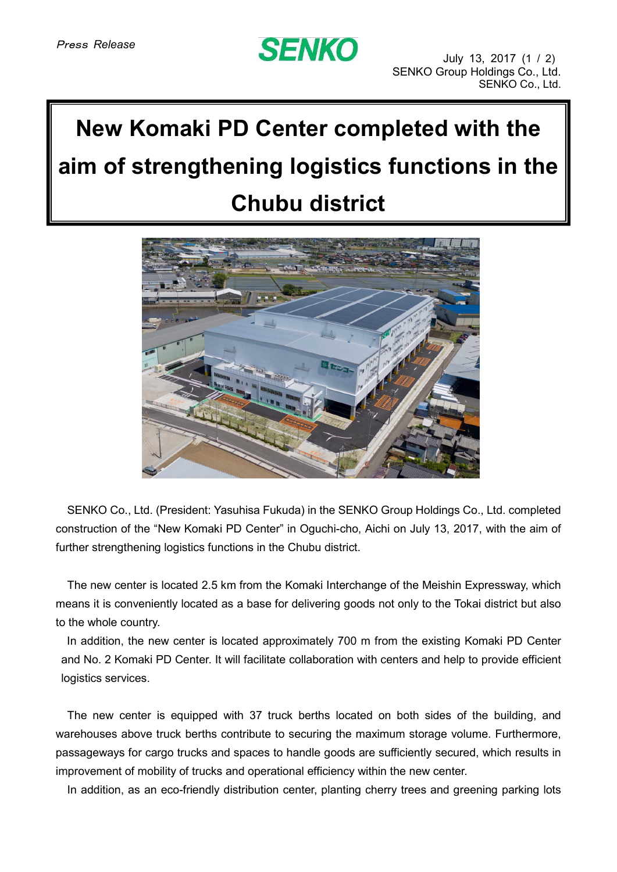## **SENKO**

## **New Komaki PD Center completed with the aim of strengthening logistics functions in the Chubu district**



SENKO Co., Ltd. (President: Yasuhisa Fukuda) in the SENKO Group Holdings Co., Ltd. completed construction of the "New Komaki PD Center" in Oguchi-cho, Aichi on July 13, 2017, with the aim of further strengthening logistics functions in the Chubu district.

The new center is located 2.5 km from the Komaki Interchange of the Meishin Expressway, which means it is conveniently located as a base for delivering goods not only to the Tokai district but also to the whole country.

In addition, the new center is located approximately 700 m from the existing Komaki PD Center and No. 2 Komaki PD Center. It will facilitate collaboration with centers and help to provide efficient logistics services.

The new center is equipped with 37 truck berths located on both sides of the building, and warehouses above truck berths contribute to securing the maximum storage volume. Furthermore, passageways for cargo trucks and spaces to handle goods are sufficiently secured, which results in improvement of mobility of trucks and operational efficiency within the new center.

In addition, as an eco-friendly distribution center, planting cherry trees and greening parking lots